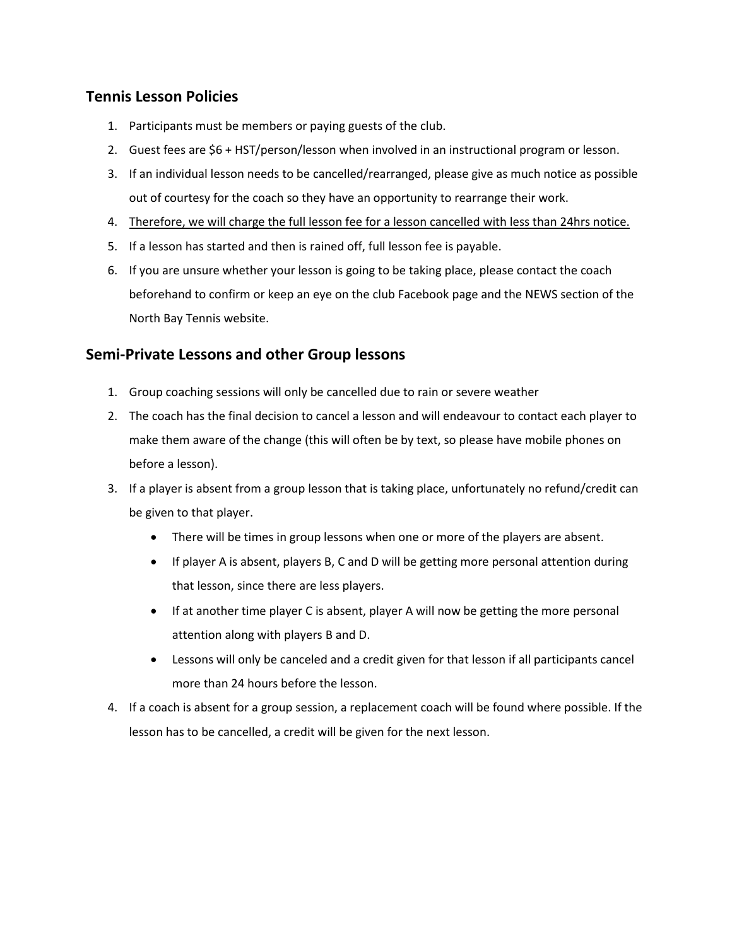## **Tennis Lesson Policies**

- 1. Participants must be members or paying guests of the club.
- 2. Guest fees are \$6 + HST/person/lesson when involved in an instructional program or lesson.
- 3. If an individual lesson needs to be cancelled/rearranged, please give as much notice as possible out of courtesy for the coach so they have an opportunity to rearrange their work.
- 4. Therefore, we will charge the full lesson fee for a lesson cancelled with less than 24hrs notice.
- 5. If a lesson has started and then is rained off, full lesson fee is payable.
- 6. If you are unsure whether your lesson is going to be taking place, please contact the coach beforehand to confirm or keep an eye on the club Facebook page and the NEWS section of the North Bay Tennis website.

## **Semi-Private Lessons and other Group lessons**

- 1. Group coaching sessions will only be cancelled due to rain or severe weather
- 2. The coach has the final decision to cancel a lesson and will endeavour to contact each player to make them aware of the change (this will often be by text, so please have mobile phones on before a lesson).
- 3. If a player is absent from a group lesson that is taking place, unfortunately no refund/credit can be given to that player.
	- There will be times in group lessons when one or more of the players are absent.
	- If player A is absent, players B, C and D will be getting more personal attention during that lesson, since there are less players.
	- If at another time player C is absent, player A will now be getting the more personal attention along with players B and D.
	- Lessons will only be canceled and a credit given for that lesson if all participants cancel more than 24 hours before the lesson.
- 4. If a coach is absent for a group session, a replacement coach will be found where possible. If the lesson has to be cancelled, a credit will be given for the next lesson.